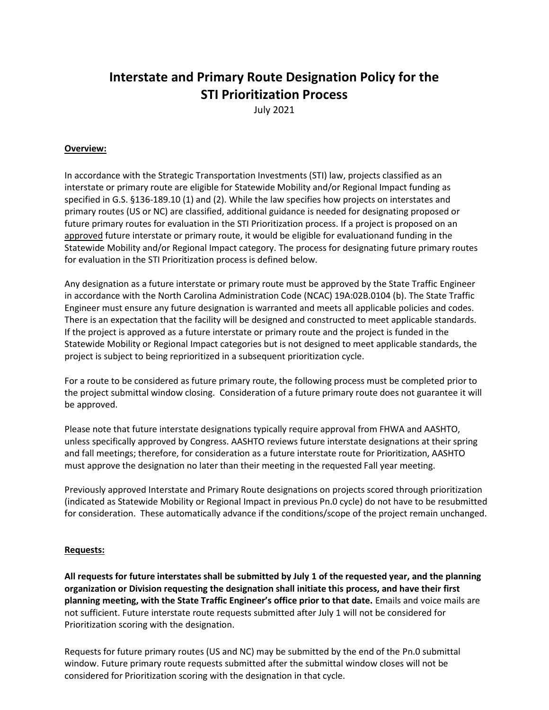# **Interstate and Primary Route Designation Policy for the STI Prioritization Process**

July 2021

### **Overview:**

In accordance with the Strategic Transportation Investments (STI) law, projects classified as an interstate or primary route are eligible for Statewide Mobility and/or Regional Impact funding as specified in G.S. §136-189.10 (1) and (2). While the law specifies how projects on interstates and primary routes (US or NC) are classified, additional guidance is needed for designating proposed or future primary routes for evaluation in the STI Prioritization process. If a project is proposed on an approved future interstate or primary route, it would be eligible for evaluationand funding in the Statewide Mobility and/or Regional Impact category. The process for designating future primary routes for evaluation in the STI Prioritization process is defined below.

Any designation as a future interstate or primary route must be approved by the State Traffic Engineer in accordance with the North Carolina Administration Code (NCAC) 19A:02B.0104 (b). The State Traffic Engineer must ensure any future designation is warranted and meets all applicable policies and codes. There is an expectation that the facility will be designed and constructed to meet applicable standards. If the project is approved as a future interstate or primary route and the project is funded in the Statewide Mobility or Regional Impact categories but is not designed to meet applicable standards, the project is subject to being reprioritized in a subsequent prioritization cycle.

For a route to be considered as future primary route, the following process must be completed prior to the project submittal window closing. Consideration of a future primary route does not guarantee it will be approved.

Please note that future interstate designations typically require approval from FHWA and AASHTO, unless specifically approved by Congress. AASHTO reviews future interstate designations at their spring and fall meetings; therefore, for consideration as a future interstate route for Prioritization, AASHTO must approve the designation no later than their meeting in the requested Fall year meeting.

Previously approved Interstate and Primary Route designations on projects scored through prioritization (indicated as Statewide Mobility or Regional Impact in previous Pn.0 cycle) do not have to be resubmitted for consideration. These automatically advance if the conditions/scope of the project remain unchanged.

### **Requests:**

**All requests for future interstates shall be submitted by July 1 of the requested year, and the planning organization or Division requesting the designation shall initiate this process, and have their first planning meeting, with the State Traffic Engineer's office prior to that date.** Emails and voice mails are not sufficient. Future interstate route requests submitted after July 1 will not be considered for Prioritization scoring with the designation.

Requests for future primary routes (US and NC) may be submitted by the end of the Pn.0 submittal window. Future primary route requests submitted after the submittal window closes will not be considered for Prioritization scoring with the designation in that cycle.